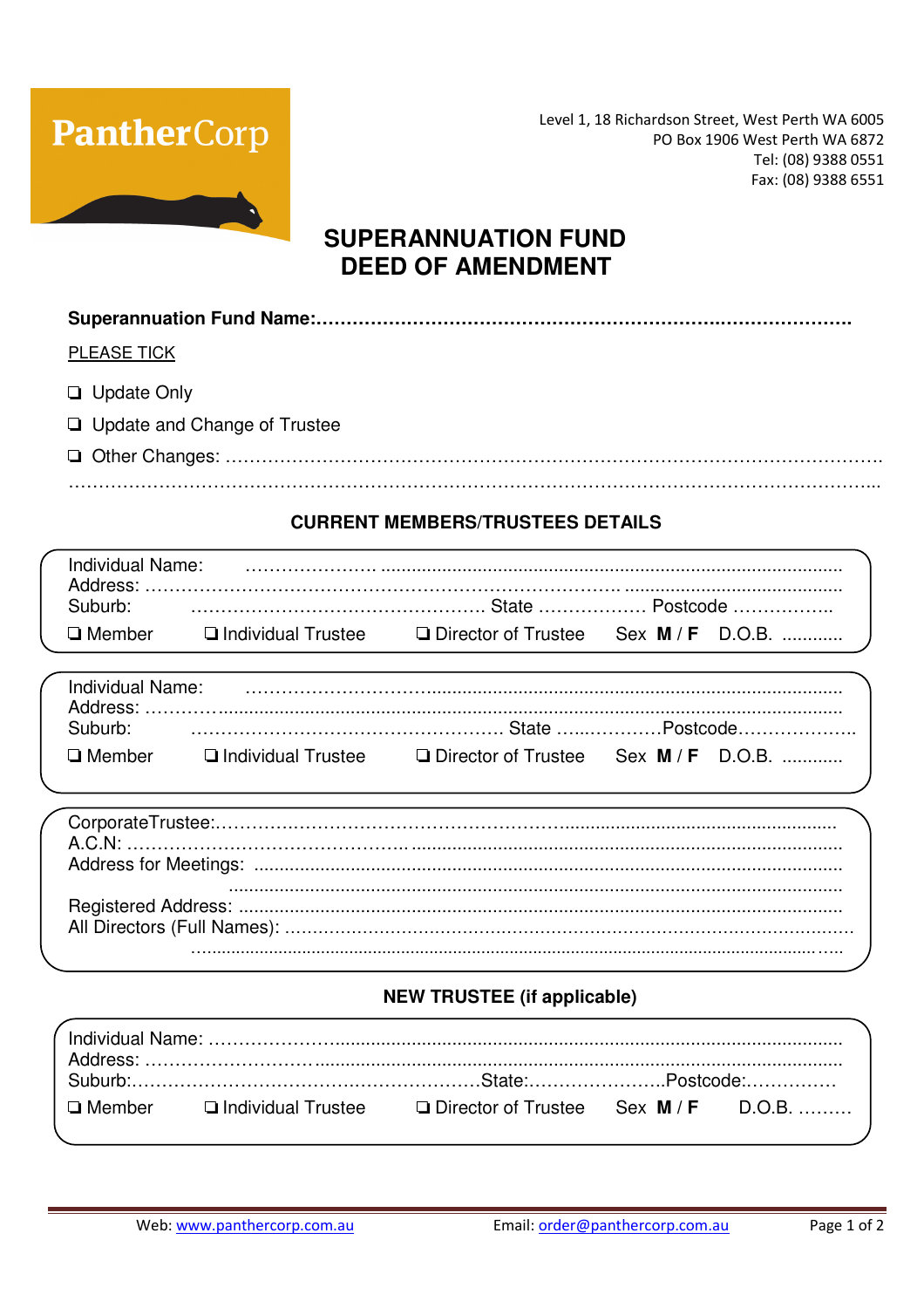

Level 1, 18 Richardson Street, West Perth WA 6005 PO Box 1906 West Perth WA 6872 Tel: (08) 9388 0551 Fax: (08) 9388 6551

## **SUPERANNUATION FUND DEED OF AMENDMENT**

|--|

**PLEASE TICK** 

- **Update Only**
- **Q** Update and Change of Trustee
- 

## **CURRENT MEMBERS/TRUSTEES DETAILS**

| Individual Name: |                                                             |  |  |
|------------------|-------------------------------------------------------------|--|--|
| Suburb:          |                                                             |  |  |
| □ Member         | □ Individual Trustee □ Director of Trustee Sex M / F D.O.B. |  |  |

| Individual Name:<br>Address: |                      |                                             |  |
|------------------------------|----------------------|---------------------------------------------|--|
| Suburb:                      |                      |                                             |  |
| $\square$ Member             | □ Individual Trustee | $\Box$ Director of Trustee Sex $M/F$ D.O.B. |  |

## **NEW TRUSTEE (if applicable)**

| $\Box$ Member $\Box$ Individual Trustee $\Box$ Director of Trustee Sex M / F D.O.B. |  |  |
|-------------------------------------------------------------------------------------|--|--|